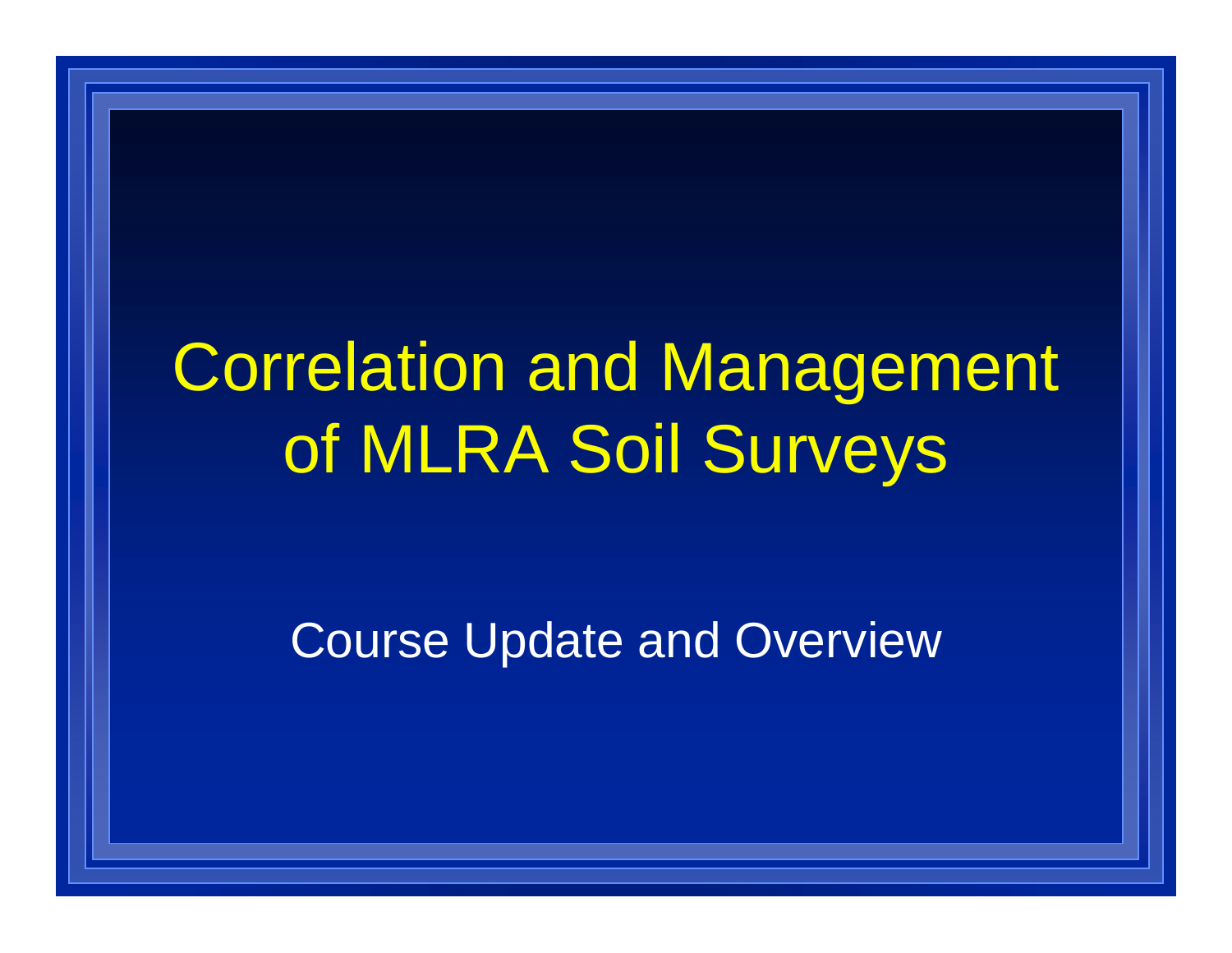## Correlation and Management of MLRA Soil Surveys

Course Update and Overview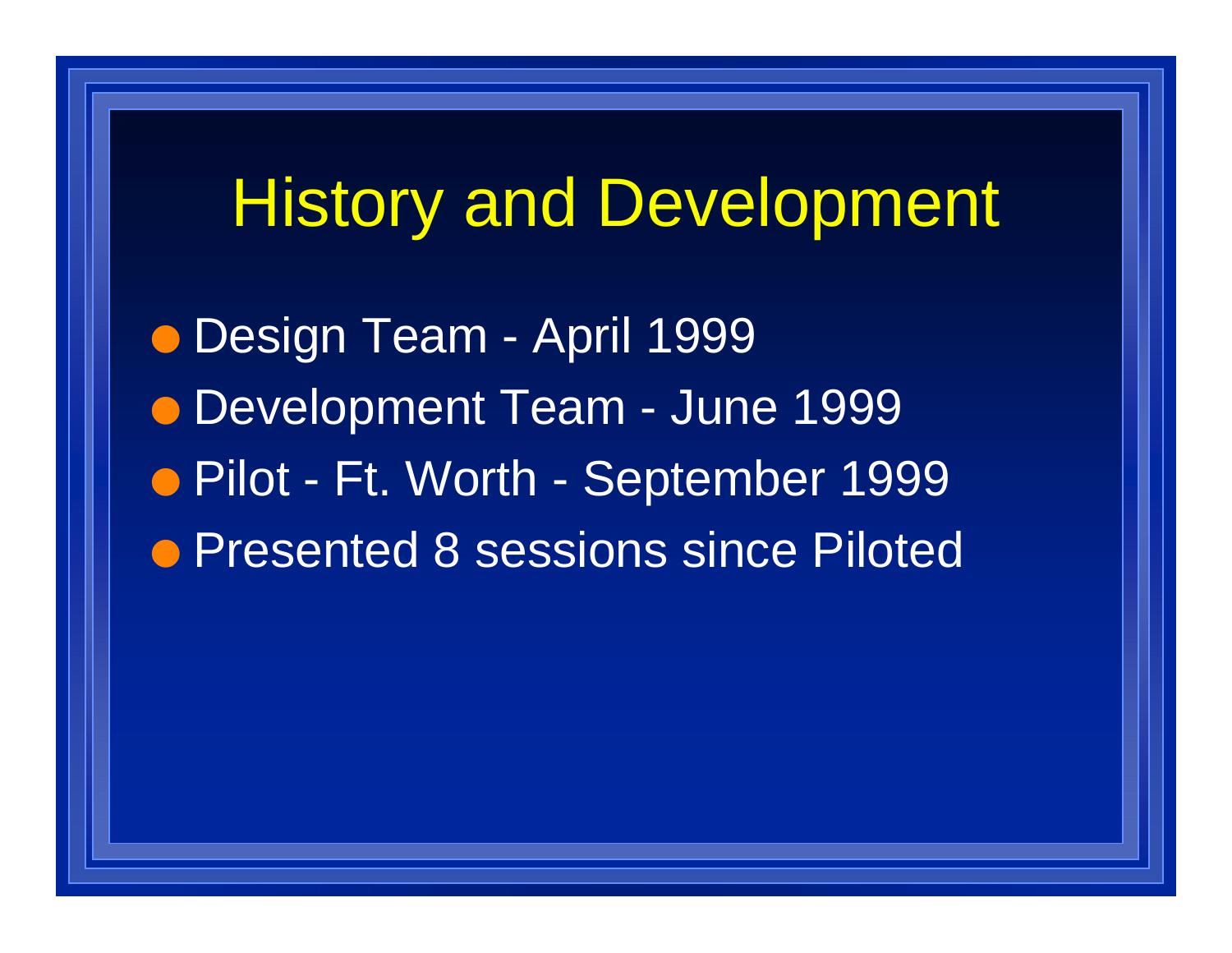## History and Development

O Design Team - April 1999 O Development Team - June 1999 ● Pilot - Ft. Worth - September 1999 **• Presented 8 sessions since Piloted**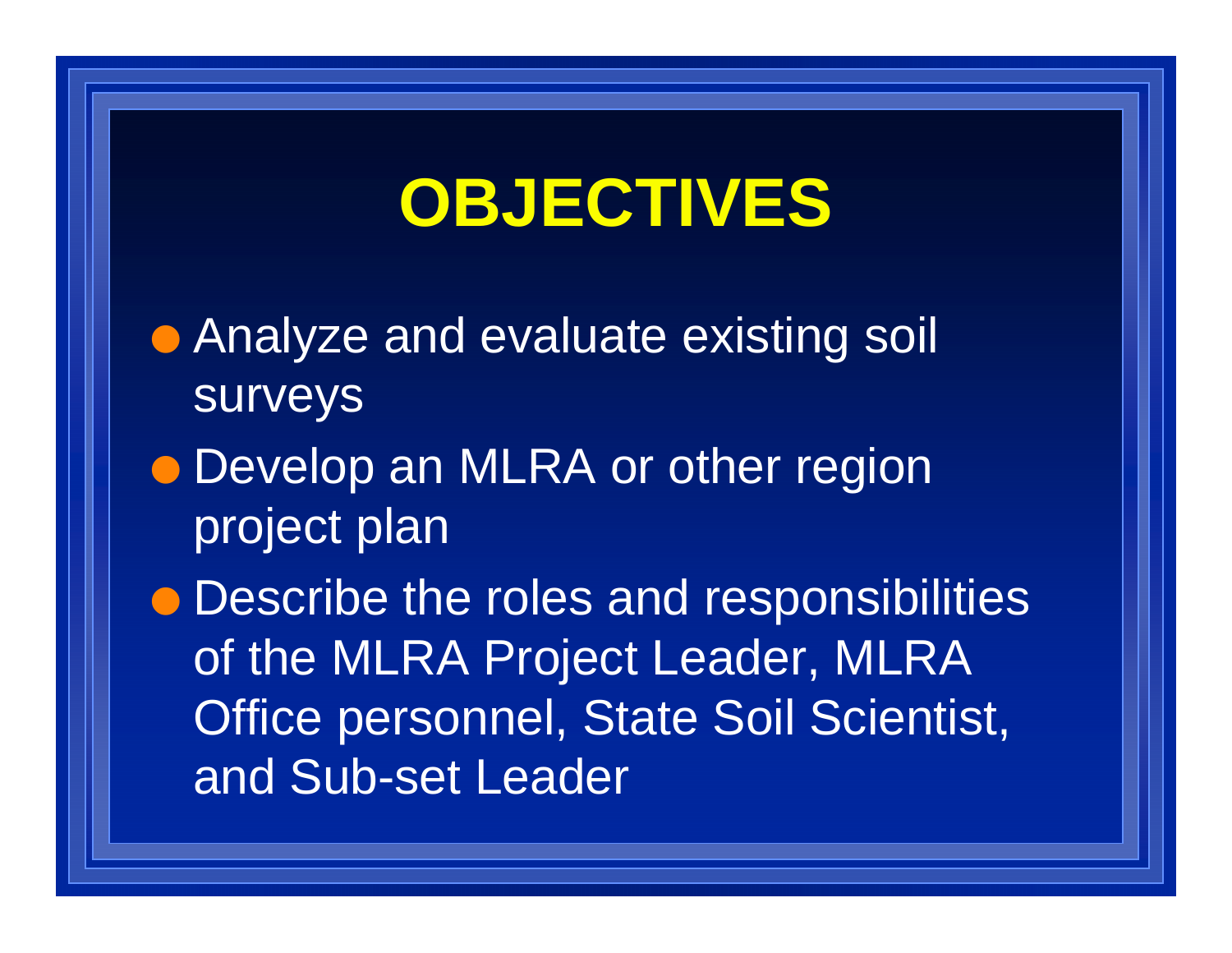## **OBJECTIVES**

**• Analyze and evaluate existing soil** surveys

• Develop an MLRA or other region project plan

 $\bullet$  Describe the roles and responsibilities of the MLRA Project Leader, MLRA Office personnel, State Soil Scientist, and Sub-set Leader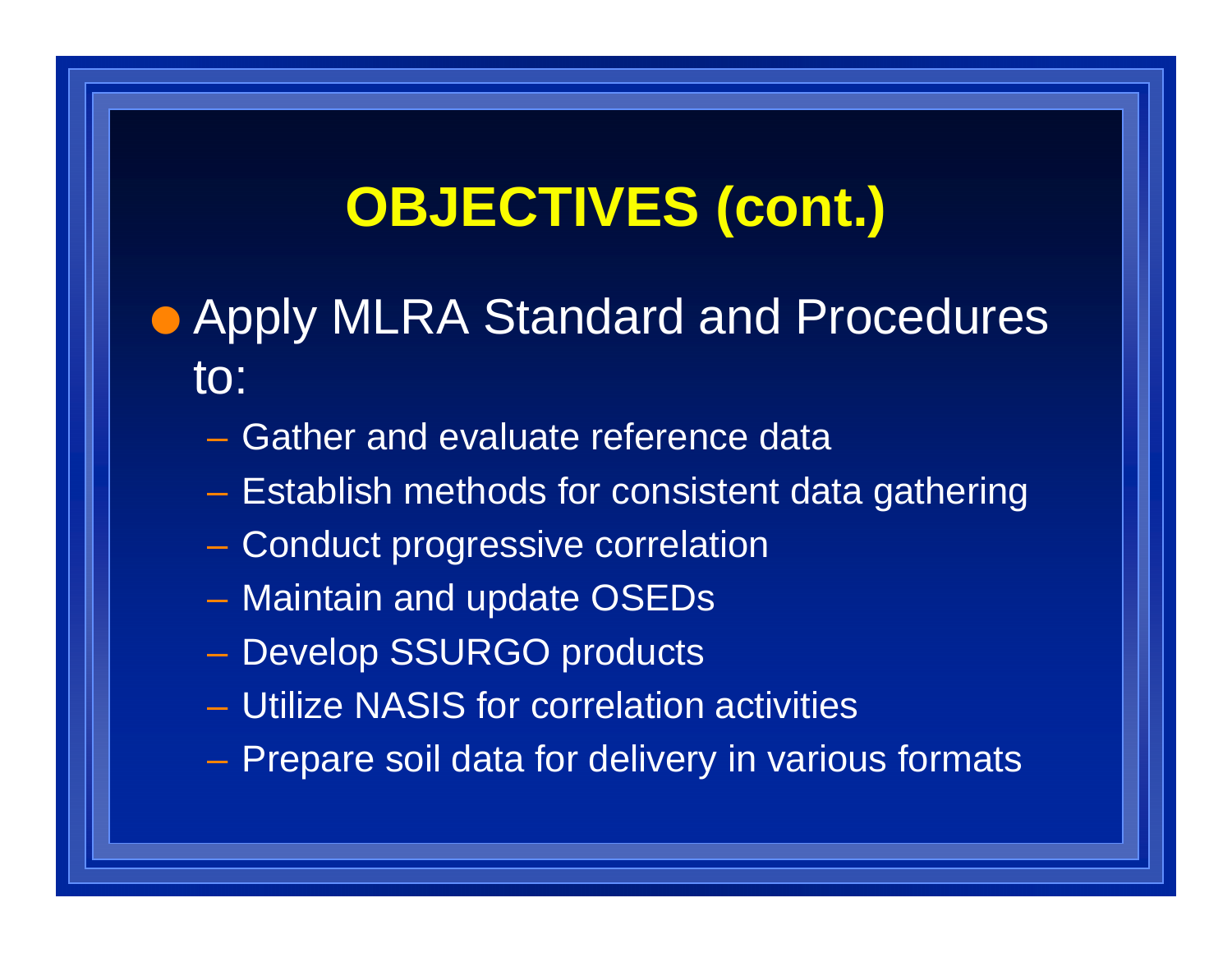#### **OBJECTIVES (cont.)**

#### **• Apply MLRA Standard and Procedures** to:

- Gather and evaluate reference data
- Establish methods for consistent data gathering
- Conduct progressive correlation
- Maintain and update OSEDs
- Develop SSURGO products
- Utilize NASIS for correlation activities
- Prepare soil data for delivery in various formats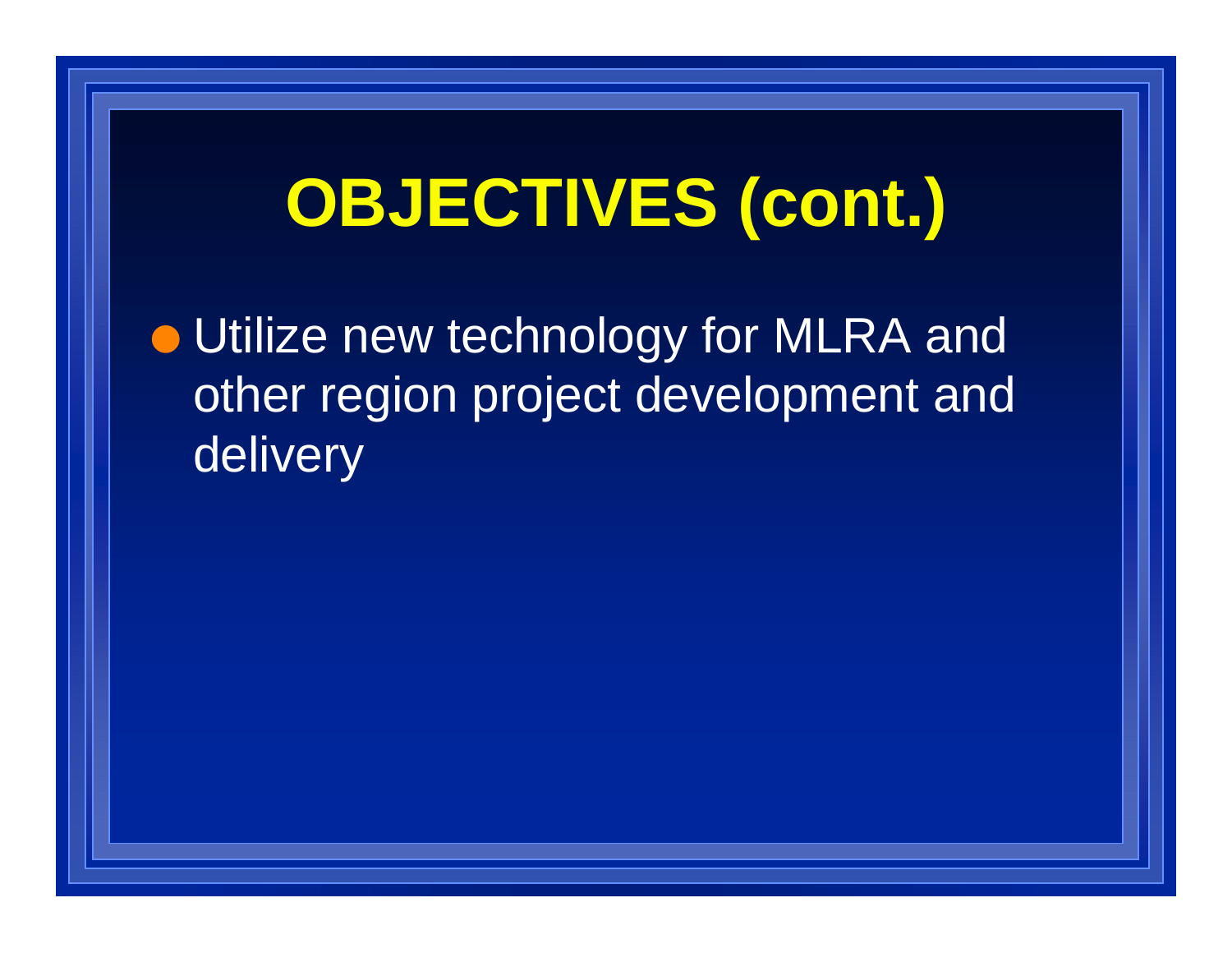# **OBJECTIVES (cont.)**

**• Utilize new technology for MLRA and** other region project development and delivery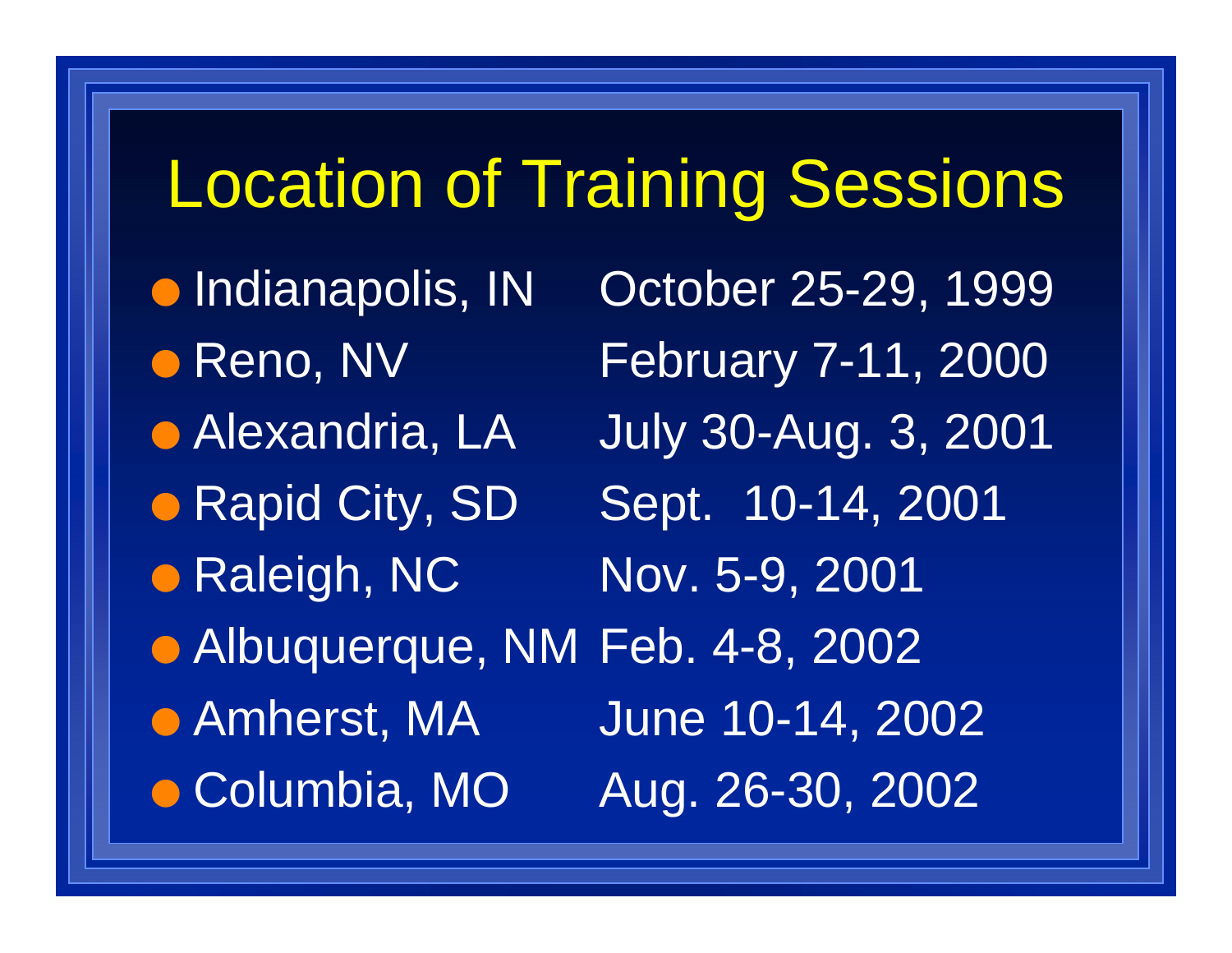## Location of Training Sessions

- **Indianapolis, IN**
- · Reno, NV
- **Alexandria, LA**
- 

• Rapid City, SD

• Raleigh, NC Nov. 5-9, 2001

• Amherst, MA **Columbia, MO** 

October 25-29, 1999 February 7-11, 2000 **July 30-Aug. 3, 2001** Sept. 10-14, 2001 O Albuquerque, NM Feb. 4-8, 2002 June 10-14, 2002 Aug. 26-30, 2002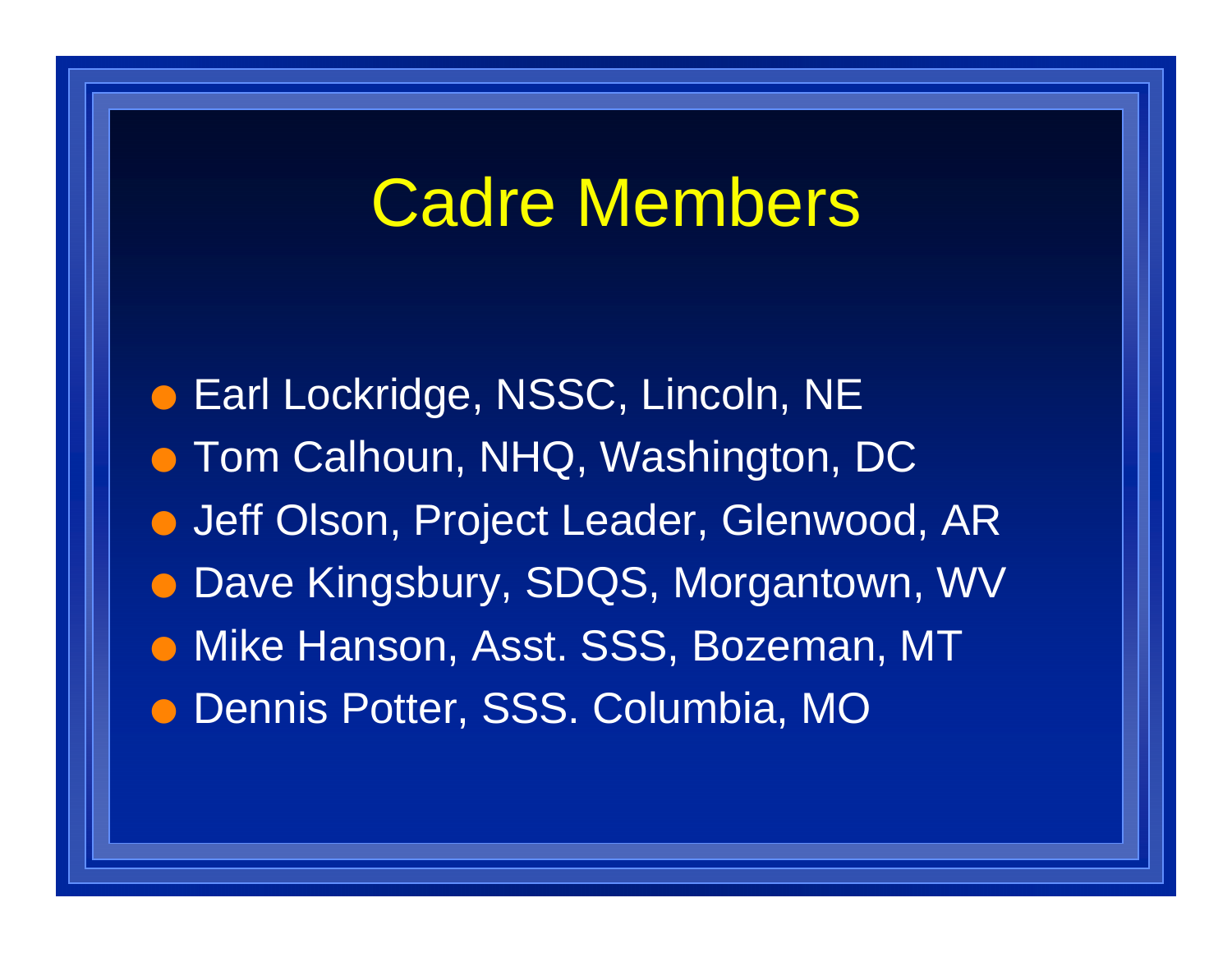## Cadre Members

**• Earl Lockridge, NSSC, Lincoln, NE**  $\bullet$  Tom Calhoun, NHQ, Washington, DC **• Jeff Olson, Project Leader, Glenwood, AR • Dave Kingsbury, SDQS, Morgantown, WV • Mike Hanson, Asst. SSS, Bozeman, MT** O Dennis Potter, SSS. Columbia, MO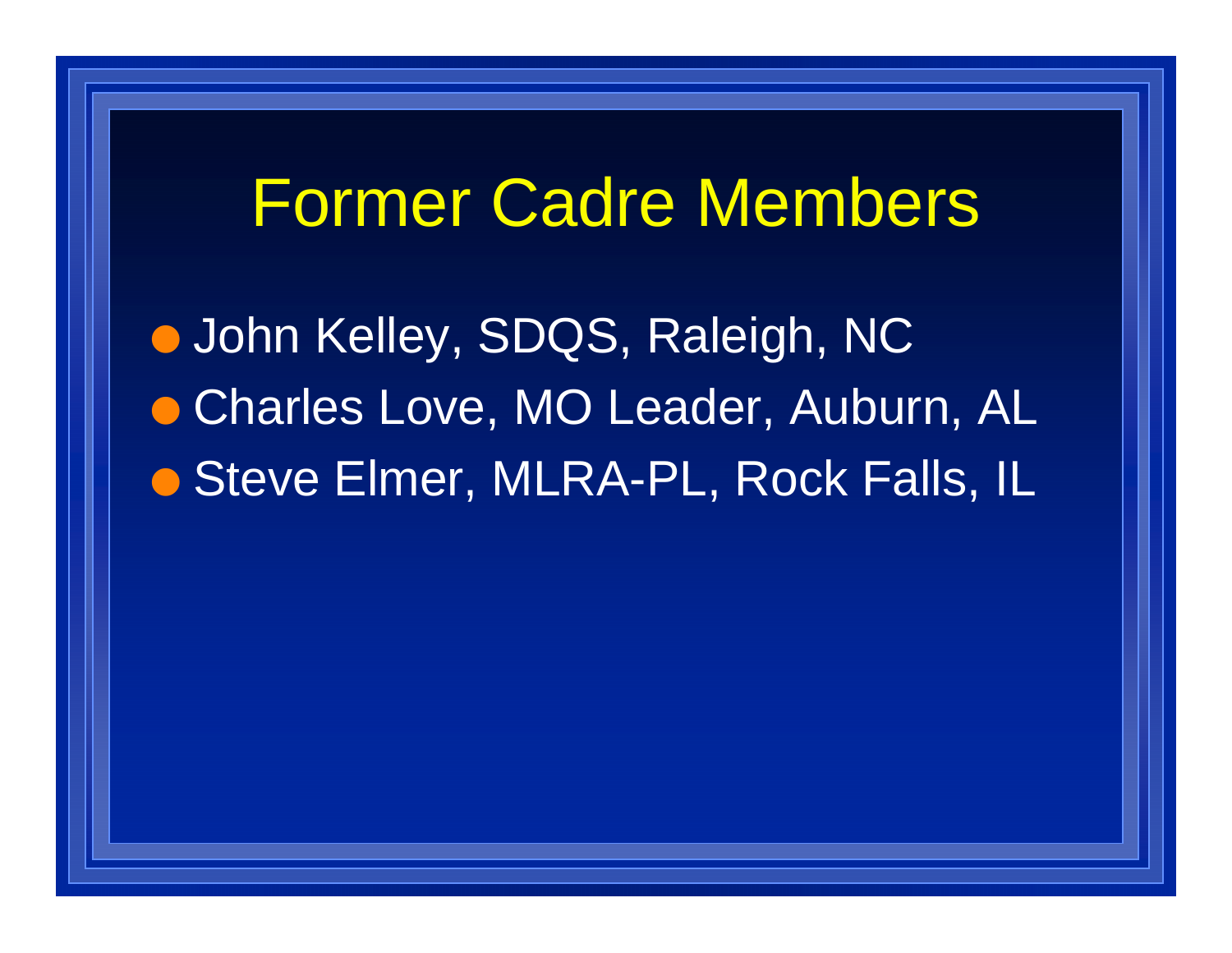#### Former Cadre Members

**.** John Kelley, SDQS, Raleigh, NC **• Charles Love, MO Leader, Auburn, AL** ● Steve Elmer, MLRA-PL, Rock Falls, IL